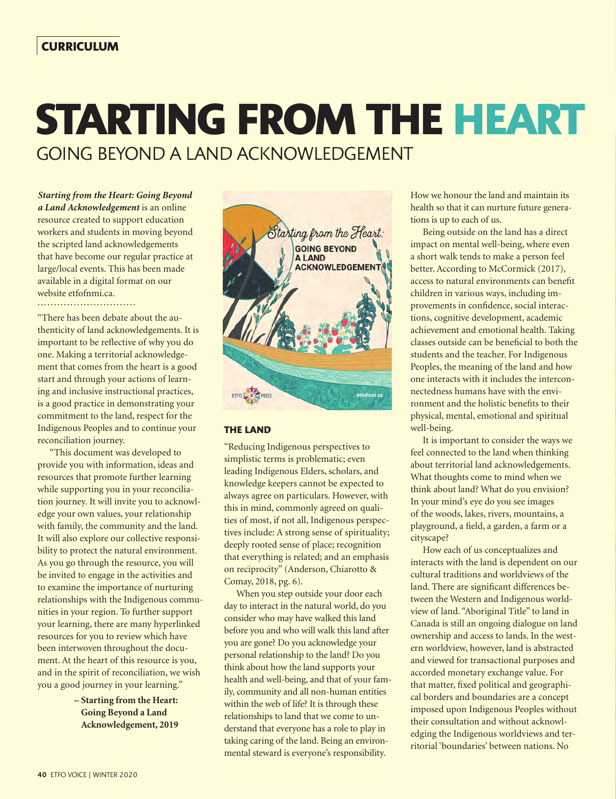# **STARTING FROM THE HEART** GOING BEYOND A LAND ACKNOWLEDGEMENT

*Starting from the Heart: Going Beyond a Land Acknowledgement* is an online resource created to support education workers and students in moving beyond the scripted land acknowledgements that have become our regular practice at large/local events. This has been made available in a digital format on our website etfofnmi.ca.

"There has been debate about the authenticity of land acknowledgements. It is important to be reflective of why you do one. Making a territorial acknowledgement that comes from the heart is a good start and through your actions of learning and inclusive instructional practices, is a good practice in demonstrating your commitment to the land, respect for the Indigenous Peoples and to continue your reconciliation journey.

"This document was developed to provide you with information, ideas and resources that promote further learning while supporting you in your reconciliation journey. It will invite you to acknowledge your own values, your relationship with family, the community and the land. It will also explore our collective responsibility to protect the natural environment. As you go through the resource, you will be invited to engage in the activities and to examine the importance of nurturing relationships with the Indigenous communities in your region. To further support your learning, there are many hyperlinked resources for you to review which have been interwoven throughout the document. At the heart of this resource is you, and in the spirit of reconciliation, we wish you a good journey in your learning."

> **– Starting from the Heart: Going Beyond a Land Acknowledgement, 2019**



### **THE LAND**

"Reducing Indigenous perspectives to simplistic terms is problematic; even leading Indigenous Elders, scholars, and knowledge keepers cannot be expected to always agree on particulars. However, with this in mind, commonly agreed on qualities of most, if not all, Indigenous perspectives include: A strong sense of spirituality; deeply rooted sense of place; recognition that everything is related; and an emphasis on reciprocity" (Anderson, Chiarotto & Comay, 2018, pg. 6).

When you step outside your door each day to interact in the natural world, do you consider who may have walked this land before you and who will walk this land after you are gone? Do you acknowledge your personal relationship to the land? Do you think about how the land supports your health and well-being, and that of your family, community and all non-human entities within the web of life? It is through these relationships to land that we come to understand that everyone has a role to play in taking caring of the land. Being an environmental steward is everyone's responsibility.

How we honour the land and maintain its health so that it can nurture future generations is up to each of us.

Being outside on the land has a direct impact on mental well-being, where even a short walk tends to make a person feel better. According to McCormick (2017), access to natural environments can benefit children in various ways, including improvements in confidence, social interactions, cognitive development, academic achievement and emotional health. Taking classes outside can be beneficial to both the students and the teacher. For Indigenous Peoples, the meaning of the land and how one interacts with it includes the interconnectedness humans have with the environment and the holistic benefits to their physical, mental, emotional and spiritual well-being.

It is important to consider the ways we feel connected to the land when thinking about territorial land acknowledgements. What thoughts come to mind when we think about land? What do you envision? In your mind's eye do you see images of the woods, lakes, rivers, mountains, a playground, a field, a garden, a farm or a cityscape?

How each of us conceptualizes and interacts with the land is dependent on our cultural traditions and worldviews of the land. There are significant differences between the Western and Indigenous worldview of land. "Aboriginal Title" to land in Canada is still an ongoing dialogue on land ownership and access to lands. In the western worldview, however, land is abstracted and viewed for transactional purposes and accorded monetary exchange value. For that matter, fixed political and geographical borders and boundaries are a concept imposed upon Indigenous Peoples without their consultation and without acknowledging the Indigenous worldviews and territorial 'boundaries' between nations. No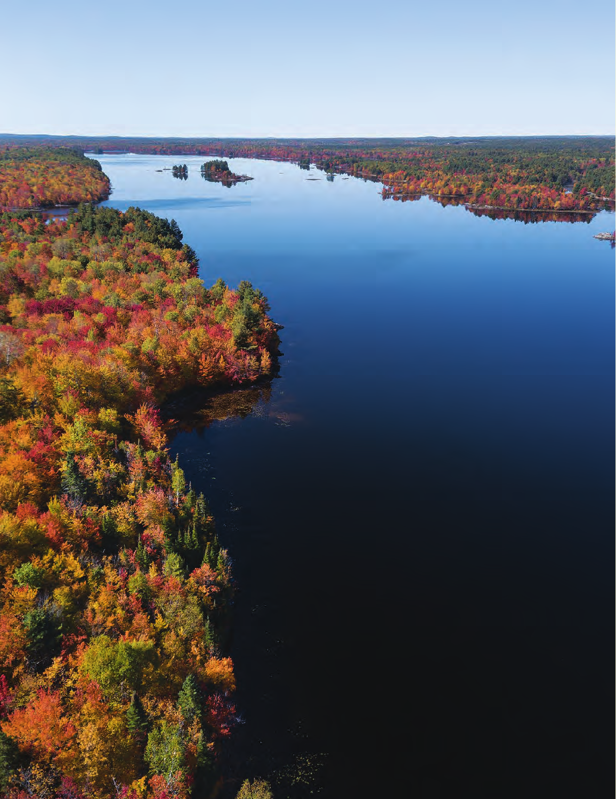